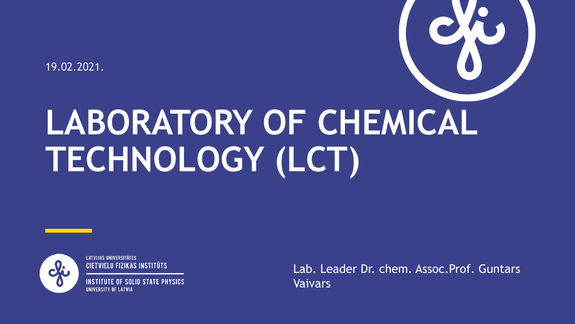19.02.2021.

# **LABORATORY OF CHEMICAL TECHNOLOGY (LCT)**



**LATVIJAS UNIVERSITĀTES CIETVIELU FIZIKAS INSTITŪTS** 

IF OF SOLID STATE PHYSICS IINIVFRSITY NF I ATVIA

Lab. Leader Dr. chem. Assoc.Prof. Guntars Vaivars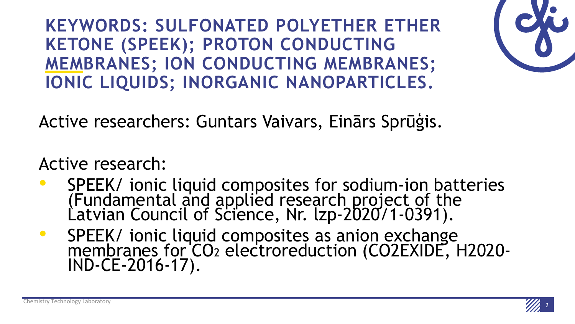**KEYWORDS: SULFONATED POLYETHER ETHER KETONE (SPEEK); PROTON CONDUCTING MEMBRANES; ION CONDUCTING MEMBRANES; IONIC LIQUIDS; INORGANIC NANOPARTICLES.**

Active researchers: Guntars Vaivars, Einārs Sprūģis.

Active research:

- SPEEK/ ionic liquid composites for sodium-ion batteries (Fundamental and applied research project of the Latvian Council of Science, Nr. lzp-2020/1-0391).
- SPEEK/ ionic liquid composites as anion exchange membranes for CO<sub>2</sub> electroreduction (CO2EXIDE, H2020-IND-CE-2016-17).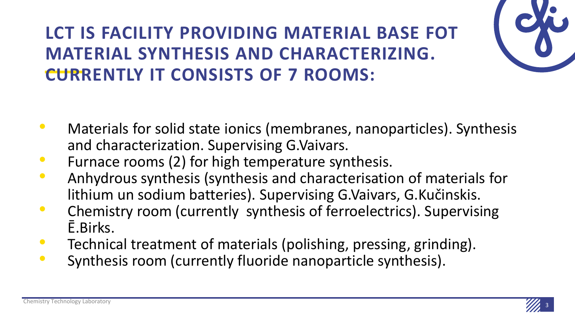## **LCT IS FACILITY PROVIDING MATERIAL BASE FOT MATERIAL SYNTHESIS AND CHARACTERIZING. CURRENTLY IT CONSISTS OF 7 ROOMS:**



- Furnace rooms (2) for high temperature synthesis.
- Anhydrous synthesis (synthesis and characterisation of materials for lithium un sodium batteries). Supervising G.Vaivars, G.Kučinskis.
- Chemistry room (currently synthesis of ferroelectrics). Supervising Ē.Birks.
- Technical treatment of materials (polishing, pressing, grinding).
- Synthesis room (currently fluoride nanoparticle synthesis).

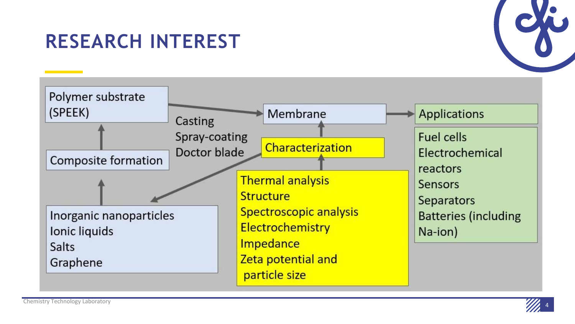## **RESEARCH INTEREST**





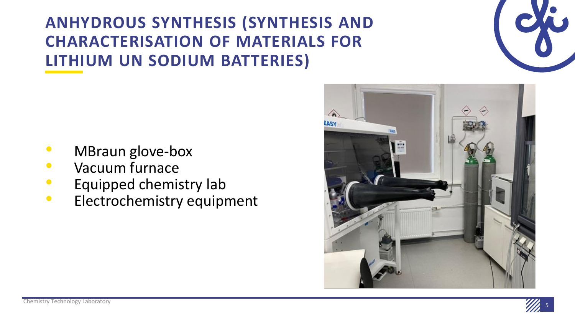**ANHYDROUS SYNTHESIS (SYNTHESIS AND CHARACTERISATION OF MATERIALS FOR LITHIUM UN SODIUM BATTERIES)**

- MBraun glove-box
- Vacuum furnace
- Equipped chemistry lab
- Electrochemistry equipment



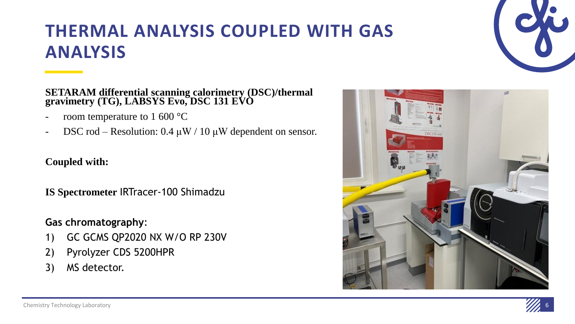

## **THERMAL ANALYSIS COUPLED WITH GAS ANALYSIS**

#### **SETARAM differential scanning calorimetry (DSC)/thermal gravimetry (TG), LABSYS Evo, DSC 131 EVO**

- room temperature to 1 600  $^{\circ}$ C
- DSC rod Resolution:  $0.4 \mu W / 10 \mu W$  dependent on sensor.

### **Coupled with:**

**IS Spectrometer** IRTracer-100 Shimadzu

### **Gas chromatography**:

- 1) GC GCMS QP2020 NX W/O RP 230V
- 2) Pyrolyzer CDS 5200HPR
- 3) MS detector.